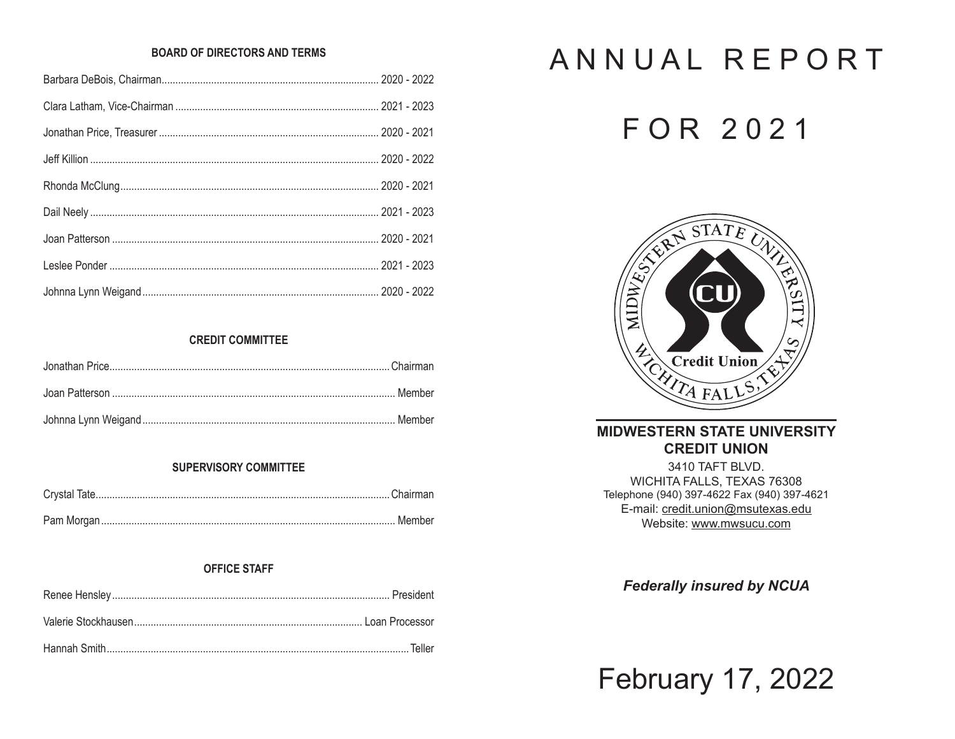### **BOARD OF DIRECTORS AND TERMS**

# **CREDIT COMMITTEE**

## **SUPERVISORY COMMITTEE**

# **OFFICE STAFF**

# ANNUAL REPORT

# FOR 2021



# **MIDWESTERN STATE UNIVERSITY CREDIT UNION**

3410 TAFT BLVD. WICHITA FALLS, TEXAS 76308 Telephone (940) 397-4622 Fax (940) 397-4621 E-mail: credit.union@msutexas.edu Website: www.mwsucu.com

**Federally insured by NCUA** 

**February 17, 2022**